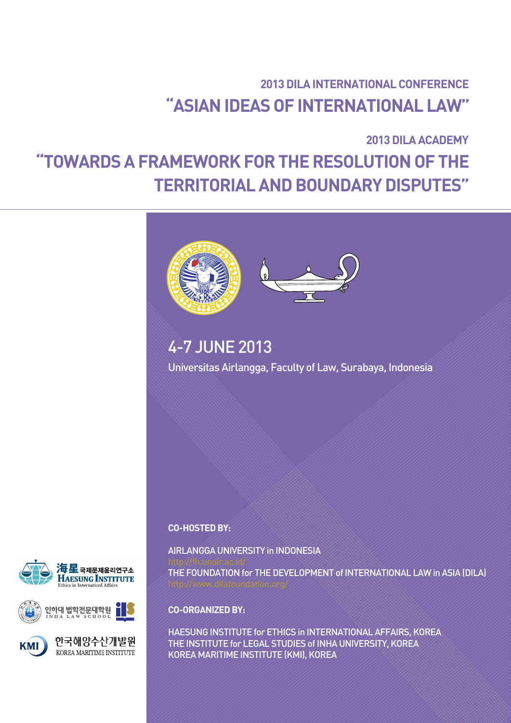# 2013 DILA INTERNATIONAL CONFERENCE "ASIAN IDEAS OF INTERNATIONAL LAW"

# 2013 DILA ACADEMY "TOWARDS A FRAMEWORK FOR THE RESOLUTION OF THE TERRITORIAL AND BOUNDARY DISPUTES"



# 4-7 JUNE 2013

Universitas Airlangga, Faculty of Law, Surabaya, Indonesia

CO-HOSTED BY:

AIRLANGGA UNIVERSITY in INDONESIA

THE FOUNDATION for THE DEVELOPMENT of INTERNATIONAL LAW in ASIA (DILA)







한국해양수산개발원 KOREA MARITIME INSTITUTE

CO-ORGANIZED BY:

HAESUNG INSTITUTE for ETHICS in INTERNATIONAL AFFAIRS, KOREA THE INSTITUTE for LEGAL STUDIES of INHA UNIVERSITY, KOREA KOREA MARITIME INSTITUTE (KMI), KOREA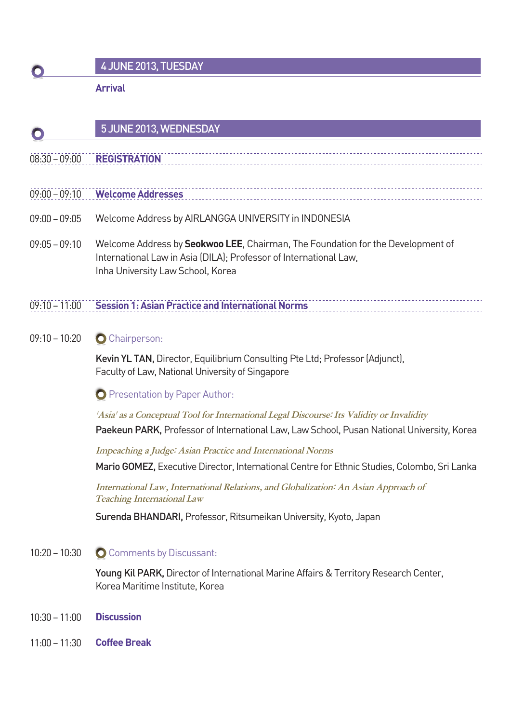# 4 JUNE 2013, TUESDAY

Arrival

#### 5 JUNE 2013, WEDNESDAY

- 08:30 09:00 REGISTRATION
- 09:00 09:10 WelcomeAddresses
- 09:00 09:05 Welcome Address by AIRLANGGAUNIVERSITY in INDONESIA
- 09:05 09:10 Welcome Address by Seokwoo LEE, Chairman, The Foundation for the Development of International Law in Asia (DILA); Professor of International Law, Inha University Law School, Korea
- 09:10 11:00 Session 1: Asian Practice and International Norms
- 09:10 10:20 **C** Chairperson:

Kevin YL TAN, Director, Equilibrium Consulting Pte Ltd; Professor (Adjunct), Faculty of Law, National University of Singapore

**O** Presentation by Paper Author:

'Asia' as a Conceptual Tool for International Legal Discourse: Its Validity or Invalidity

Paekeun PARK, Professor of International Law, Law School, Pusan National University, Korea

Impeaching a Judge: Asian Practice and International Norms

Mario GOMEZ, Executive Director, International Centre for Ethnic Studies, Colombo, Sri Lanka

International Law, International Relations, and Globalization: An Asian Approach of Teaching International Law

Surenda BHANDARI, Professor, Ritsumeikan University, Kyoto, Japan

### 10:20 – 10:30 **O** Comments by Discussant:

Young Kil PARK, Director of International Marine Affairs & Territory Research Center, Korea Maritime Institute, Korea

- 10:30 11:00 Discussion
- 11:00 11:30 CoffeeBreak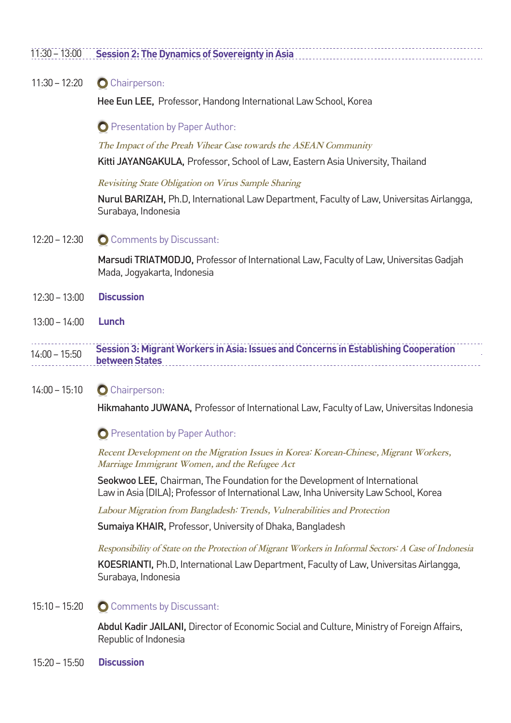### 11:30 – 13:00 Session 2: The Dynamics of Sovereignty in Asia

#### 11:30 – 12:20 **O** Chairperson:

Hee Eun LEE, Professor, Handong International Law School, Korea

**O** Presentation by Paper Author:

The Impact of the Preah Vihear Case towards the ASEAN Community

Kitti JAYANGAKULA, Professor, School of Law, Eastern Asia University, Thailand

Revisiting State Obligation on Virus Sample Sharing

Nurul BARIZAH, Ph.D, International Law Department, Faculty of Law, Universitas Airlangga, Surabaya, Indonesia

12:20 – 12:30 **O** Comments by Discussant:

Marsudi TRIATMODJO, Professor of International Law, Faculty of Law, Universitas Gadjah Mada, Jogyakarta, Indonesia

- 12:30 13:00 Discussion
- 13:00 14:00 Lunch

14:00 – 15:50 Session 3: Migrant Workers in Asia: Issues and Concerns in Establishing Cooperation between States . . . . . . . . . . . . . . . . .

#### 14:00 – 15:10 **C** Chairperson:

Hikmahanto JUWANA, Professor of International Law, Faculty of Law, Universitas Indonesia

**O** Presentation by Paper Author:

Recent Development on the Migration Issues in Korea: Korean-Chinese, Migrant Workers, Marriage Immigrant Women, and the Refugee Act

Seokwoo LEE, Chairman, The Foundation for the Development of International Law in Asia (DILA); Professor of International Law, Inha University Law School, Korea

Labour Migration from Bangladesh: Trends, Vulnerabilities and Protection

Sumaiya KHAIR, Professor, University of Dhaka, Bangladesh

Responsibility of State on the Protection of Migrant Workers in Informal Sectors: A Case of Indonesia

KOESRIANTI, Ph.D, International Law Department, Faculty of Law, Universitas Airlangga, Surabaya, Indonesia

#### 15:10 – 15:20 **O** Comments by Discussant:

Abdul Kadir JAILANI, Director of Economic Social and Culture, Ministry of Foreign Affairs, Republic of Indonesia

15:20 – 15:50 Discussion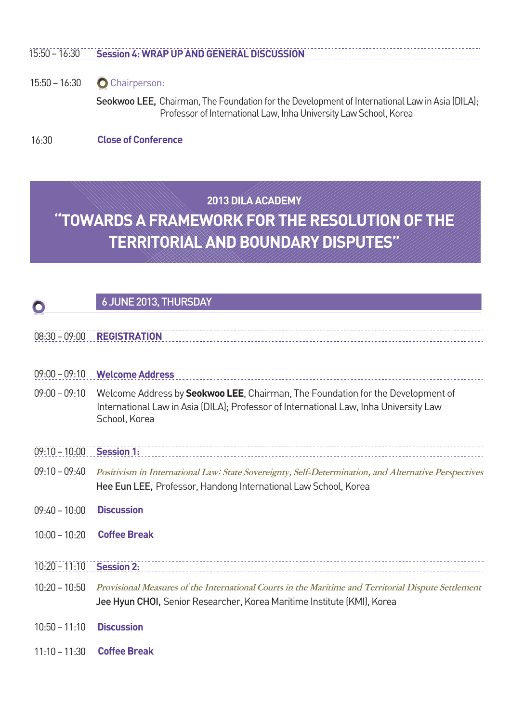### 15:50 – 16:30 Session 4: WRAP UP AND GENERAL DISCUSSION

#### 15:50 – 16:30 **O** Chairperson:

Seokwoo LEE, Chairman, The Foundation for the Development of International Law in Asia (DILA); Professor of International Law, Inha University Law School, Korea

16:30 Close of Conference

# 2013 DILA ACADEMY "TOWARDS A FRAMEWORK FOR THE RESOLUTION OF THE TERRITORIAL AND BOUNDARY DISPUTES"

## 6 JUNE 2013, THURSDAY

### 08:30 – 09:00 REGISTRATION

| $09:00 - 09:10$ | <b>Welcome Address</b>                                                                                                                                                                            |
|-----------------|---------------------------------------------------------------------------------------------------------------------------------------------------------------------------------------------------|
| $09:00 - 09:10$ | Welcome Address by <b>Seokwoo LEE</b> , Chairman, The Foundation for the Development of<br>International Law in Asia (DILA); Professor of International Law, Inha University Law<br>School, Korea |
| $09:10 - 10:00$ | <b>Session 1:</b>                                                                                                                                                                                 |
| $09:10 - 09:40$ | Positivism in International Law: State Sovereignty, Self-Determination, and Alternative Perspectives<br>Hee Eun LEE, Professor, Handong International Law School, Korea                           |
| $09:40 - 10:00$ | <b>Discussion</b>                                                                                                                                                                                 |
| $10:00 - 10:20$ | <b>Coffee Break</b>                                                                                                                                                                               |
| $10:20 - 11:10$ | <b>Session 2:</b>                                                                                                                                                                                 |
| $10:20 - 10:50$ | Provisional Measures of the International Courts in the Maritime and Territorial Dispute Settlement<br>Jee Hyun CHOI, Senior Researcher, Korea Maritime Institute (KMI), Korea                    |
| $10:50 - 11:10$ | <b>Discussion</b>                                                                                                                                                                                 |

11:10 – 11:30 Coffee Break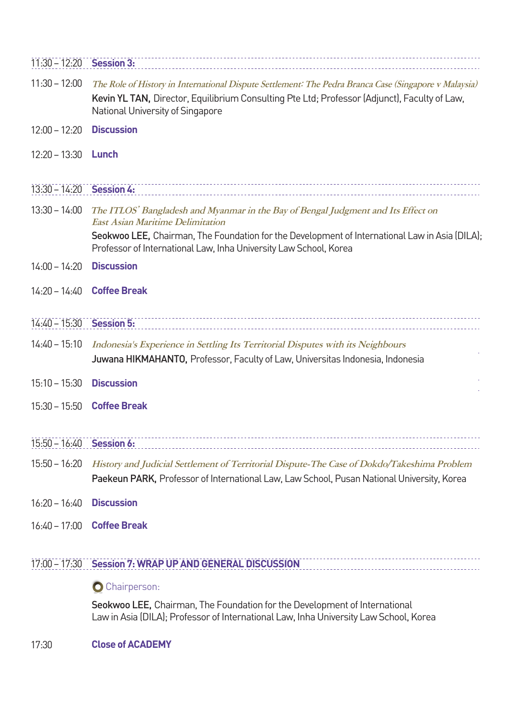| $11:30 - 12:20$ Session 3: |                                                                                                                                                                                                                                                                                                                   |
|----------------------------|-------------------------------------------------------------------------------------------------------------------------------------------------------------------------------------------------------------------------------------------------------------------------------------------------------------------|
| $11:30 - 12:00$            | The Role of History in International Dispute Settlement: The Pedra Branca Case (Singapore v Malaysia)<br>Kevin YL TAN, Director, Equilibrium Consulting Pte Ltd; Professor (Adjunct), Faculty of Law,<br>National University of Singapore                                                                         |
| $12:00 - 12:20$            | <b>Discussion</b>                                                                                                                                                                                                                                                                                                 |
| $12:20 - 13:30$            | Lunch                                                                                                                                                                                                                                                                                                             |
| 13:30 - 14:20 Session 4:   |                                                                                                                                                                                                                                                                                                                   |
|                            | 13:30 - 14:00 The ITLOS' Bangladesh and Myanmar in the Bay of Bengal Judgment and Its Effect on<br><b>East Asian Maritime Delimitation</b><br>Seokwoo LEE, Chairman, The Foundation for the Development of International Law in Asia (DILA);<br>Professor of International Law, Inha University Law School, Korea |
| $14:00 - 14:20$            | <b>Discussion</b>                                                                                                                                                                                                                                                                                                 |
| $14:20 - 14:40$            | <b>Coffee Break</b>                                                                                                                                                                                                                                                                                               |
| 14:40 - 15:30 Session 5:   |                                                                                                                                                                                                                                                                                                                   |
| $14:40 - 15:10$            | Indonesia's Experience in Settling Its Territorial Disputes with its Neighbours<br>Juwana HIKMAHANTO, Professor, Faculty of Law, Universitas Indonesia, Indonesia                                                                                                                                                 |
| $15:10 - 15:30$            | <b>Discussion</b>                                                                                                                                                                                                                                                                                                 |
|                            | 15:30 - 15:50 Coffee Break                                                                                                                                                                                                                                                                                        |
| $15:50 - 16:40$            | <b>Session 6:</b>                                                                                                                                                                                                                                                                                                 |
| $15:50 - 16:20$            | History and Judicial Settlement of Territorial Dispute-The Case of Dokdo/Takeshima Problem<br>Paekeun PARK, Professor of International Law, Law School, Pusan National University, Korea                                                                                                                          |
| $16:20 - 16:40$            | <b>Discussion</b>                                                                                                                                                                                                                                                                                                 |
| $16:40 - 17:00$            | <b>Coffee Break</b>                                                                                                                                                                                                                                                                                               |

## 17:00 – 17:30 Session 7: WRAP UP AND GENERAL DISCUSSION

## O Chairperson:

Seokwoo LEE, Chairman, The Foundation for the Development of International Law in Asia (DILA); Professor of International Law, Inha University Law School, Korea

17:30 Close of ACADEMY